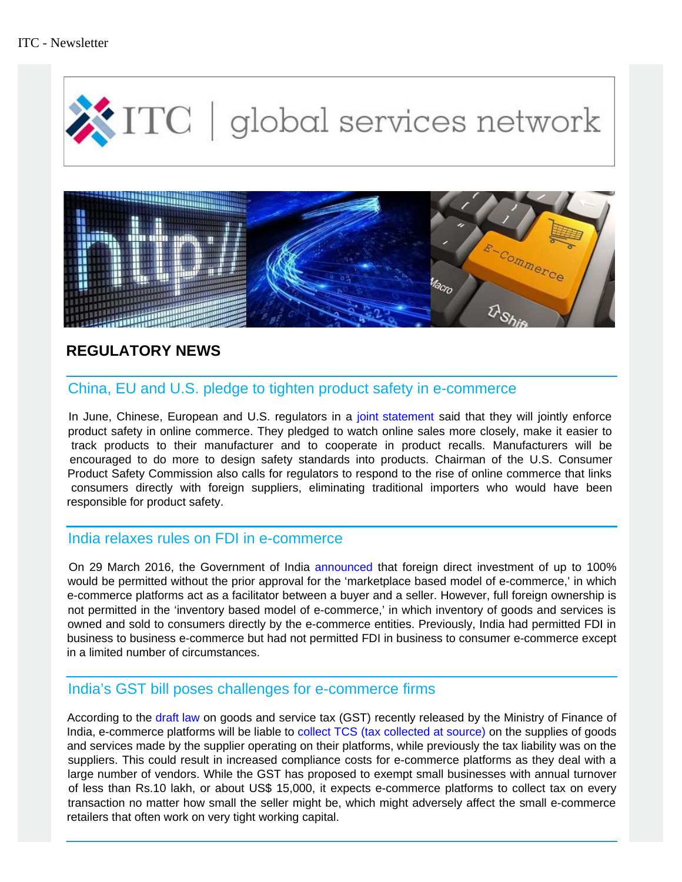

# **REGULATORY NEWS**

# China, EU and U.S. pledge to tighten product safety in e-commerce

In June, Chinese, European and U.S. regulators in a [joint statement](http://eeas.europa.eu/delegations/china/documents/news/20160622_joint_press_statement_edit_by_cn_final_(2).pdf) said that they will jointly enforce product safety in online commerce. They pledged to watch online sales more closely, make it easier to track products to their manufacturer and to cooperate in product recalls. Manufacturers will be encouraged to do more to design safety standards into products. Chairman of the U.S. Consumer Product Safety Commission also calls for regulators to respond to the rise of online commerce that links consumers directly with foreign suppliers, eliminating traditional importers who would have been responsible for product safety.

## India relaxes rules on FDI in e-commerce

 On 29 March 2016, the Government of India [announced](http://www.lexology.com/library/detail.aspx?g=3cee6abf-8888-44f5-9305-6926de6b3786) that foreign direct investment of up to 100% would be permitted without the prior approval for the 'marketplace based model of e-commerce,' in which e-commerce platforms act as a facilitator between a buyer and a seller. However, full foreign ownership is not permitted in the 'inventory based model of e-commerce,' in which inventory of goods and services is owned and sold to consumers directly by the e-commerce entities. Previously, India had permitted FDI in business to business e-commerce but had not permitted FDI in business to consumer e-commerce except in a limited number of circumstances.

# India's GST bill poses challenges for e-commerce firms

 According to the [draft law](http://www.finmin.nic.in/reports/ModelGSTLaw_draft.pdf) on goods and service tax (GST) recently released by the Ministry of Finance of India, e-commerce platforms will be liable to [collect TCS \(tax collected at source\)](http://www.livemint.com/Companies/i45nwN0FnKEfABtFEc7I1I/GST-law-poses-multiple-challenges-for-ecommerce-firms.html) on the supplies of goods and services made by the supplier operating on their platforms, while previously the tax liability was on the suppliers. This could result in increased compliance costs for e-commerce platforms as they deal with a large number of vendors. While the GST has proposed to exempt small businesses with annual turnover of less than Rs.10 lakh, or about US\$ 15,000, it expects e-commerce platforms to collect tax on every transaction no matter how small the seller might be, which might adversely affect the small e-commerce retailers that often work on very tight working capital.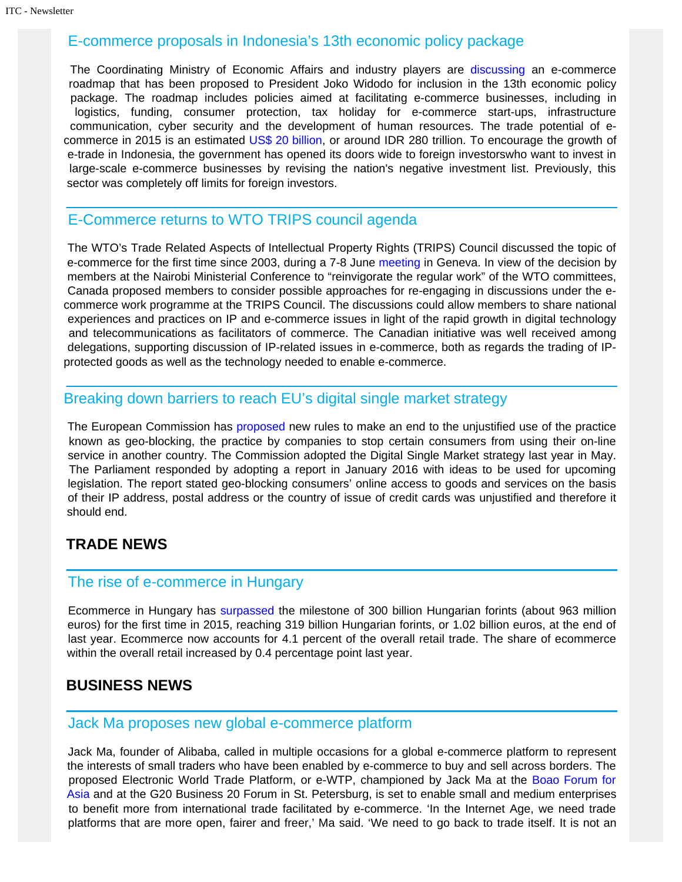#### E-commerce proposals in Indonesia's 13th economic policy package

 The Coordinating Ministry of Economic Affairs and industry players are [discussing](http://en.katadata.co.id/news/2016/05/27/seven-e-commerce-proposals-in-13th-economic-policy-package) an e-commerce roadmap that has been proposed to President Joko Widodo for inclusion in the 13th economic policy package. The roadmap includes policies aimed at facilitating e-commerce businesses, including in logistics, funding, consumer protection, tax holiday for e-commerce start-ups, infrastructure communication, cyber security and the development of human resources. The trade potential of e-commerce in 2015 is an estimated [US\\$ 20 billion](http://en.katadata.co.id/news/2016/04/29/president-look-out-mall-owners-e-commerce-is-coming), or around IDR 280 trillion. To encourage the growth of e-trade in Indonesia, the government has opened its doors wide to foreign investorswho want to invest in large-scale e-commerce businesses by revising the nation's negative investment list. Previously, this sector was completely off limits for foreign investors.

### E-Commerce returns to WTO TRIPS council agenda

 The WTO's Trade Related Aspects of Intellectual Property Rights (TRIPS) Council discussed the topic of e-commerce for the first time since 2003, during a 7-8 June [meeting](https://www.wto.org/english/news_e/news16_e/trip_10jun16_e.htm) in Geneva. In view of the decision by members at the Nairobi Ministerial Conference to "reinvigorate the regular work" of the WTO committees, Canada proposed members to consider possible approaches for re-engaging in discussions under the ecommerce work programme at the TRIPS Council. The discussions could allow members to share national experiences and practices on IP and e-commerce issues in light of the rapid growth in digital technology and telecommunications as facilitators of commerce. The Canadian initiative was well received among delegations, supporting discussion of IP-related issues in e-commerce, both as regards the trading of IPprotected goods as well as the technology needed to enable e-commerce.

## Breaking down barriers to reach EU's digital single market strategy

 The European Commission has [proposed](http://www.europarl.europa.eu/news/en/news-room/20160523STO28475/Breaking-down-barriers-giving-consumers-equal-access-to-online-products) new rules to make an end to the unjustified use of the practice known as geo-blocking, the practice by companies to stop certain consumers from using their on-line service in another country. The Commission adopted the Digital Single Market strategy last year in May. The Parliament responded by adopting a report in January 2016 with ideas to be used for upcoming legislation. The report stated geo-blocking consumers' online access to goods and services on the basis of their IP address, postal address or the country of issue of credit cards was unjustified and therefore it should end.

## **TRADE NEWS**

## The rise of e-commerce in Hungary

 Ecommerce in Hungary has [surpassed](http://ecommercenews.eu/ecommerce-hungary-accounts-4-1-total-retail/) the milestone of 300 billion Hungarian forints (about 963 million euros) for the first time in 2015, reaching 319 billion Hungarian forints, or 1.02 billion euros, at the end of last year. Ecommerce now accounts for 4.1 percent of the overall retail trade. The share of ecommerce within the overall retail increased by 0.4 percentage point last year.

## **BUSINESS NEWS**

#### Jack Ma proposes new global e-commerce platform

 Jack Ma, founder of Alibaba, called in multiple occasions for a global e-commerce platform to represent the interests of small traders who have been enabled by e-commerce to buy and sell across borders. The proposed Electronic World Trade Platform, or e-WTP, championed by Jack Ma at the [Boao Forum for](http://news.xinhuanet.com/english/2016-03/23/c_135217057.htm)  [Asia](http://news.xinhuanet.com/english/2016-03/23/c_135217057.htm) and at the G20 Business 20 Forum in St. Petersburg, is set to enable small and medium enterprises to benefit more from international trade facilitated by e-commerce. 'In the Internet Age, we need trade platforms that are more open, fairer and freer,' Ma said. 'We need to go back to trade itself. It is not an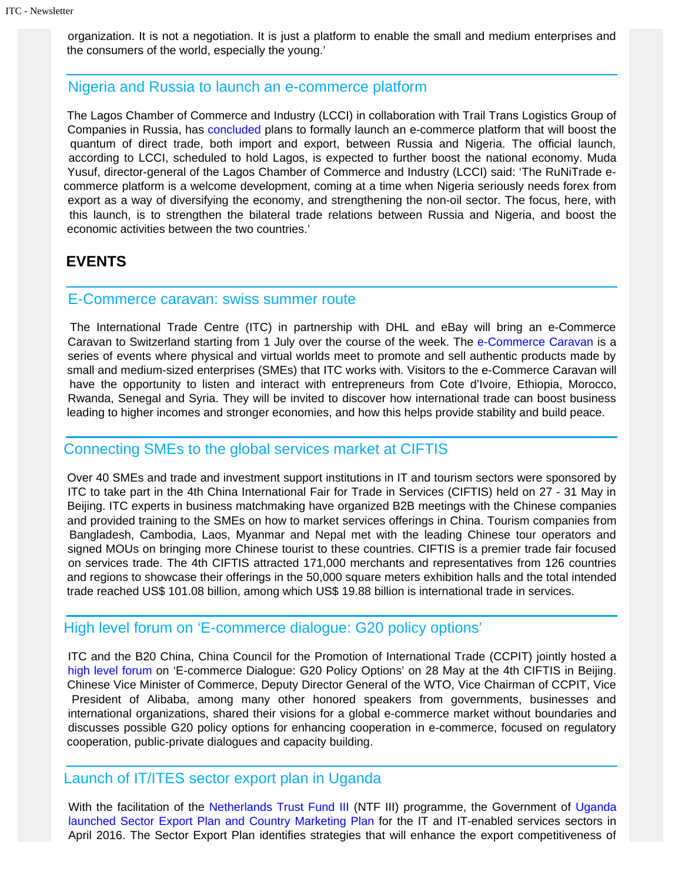organization. It is not a negotiation. It is just a platform to enable the small and medium enterprises and the consumers of the world, especially the young.'

## Nigeria and Russia to launch an e-commerce platform

 The Lagos Chamber of Commerce and Industry (LCCI) in collaboration with Trail Trans Logistics Group of Companies in Russia, has [concluded](http://www.leadership.ng/business/537591/nigeria-russia-launch-e-commerce-platform) plans to formally launch an e-commerce platform that will boost the quantum of direct trade, both import and export, between Russia and Nigeria. The official launch, according to LCCI, scheduled to hold Lagos, is expected to further boost the national economy. Muda Yusuf, director-general of the Lagos Chamber of Commerce and Industry (LCCI) said: 'The RuNiTrade ecommerce platform is a welcome development, coming at a time when Nigeria seriously needs forex from export as a way of diversifying the economy, and strengthening the non-oil sector. The focus, here, with this launch, is to strengthen the bilateral trade relations between Russia and Nigeria, and boost the economic activities between the two countries.'

## **EVENTS**

#### E-Commerce caravan: swiss summer route

 The International Trade Centre (ITC) in partnership with DHL and eBay will bring an e-Commerce Caravan to Switzerland starting from 1 July over the course of the week. The [e-Commerce Caravan](http://www.intracen.org/event/E-Commerce-Caravan/) is a series of events where physical and virtual worlds meet to promote and sell authentic products made by small and medium-sized enterprises (SMEs) that ITC works with. Visitors to the e-Commerce Caravan will have the opportunity to listen and interact with entrepreneurs from Cote d'Ivoire, Ethiopia, Morocco, Rwanda, Senegal and Syria. They will be invited to discover how international trade can boost business leading to higher incomes and stronger economies, and how this helps provide stability and build peace.

## Connecting SMEs to the global services market at CIFTIS

 Over 40 SMEs and trade and investment support institutions in IT and tourism sectors were sponsored by ITC to take part in the 4th China International Fair for Trade in Services (CIFTIS) held on 27 - 31 May in Beijing. ITC experts in business matchmaking have organized B2B meetings with the Chinese companies and provided training to the SMEs on how to market services offerings in China. Tourism companies from Bangladesh, Cambodia, Laos, Myanmar and Nepal met with the leading Chinese tour operators and signed MOUs on bringing more Chinese tourist to these countries. CIFTIS is a premier trade fair focused on services trade. The 4th CIFTIS attracted 171,000 merchants and representatives from 126 countries and regions to showcase their offerings in the 50,000 square meters exhibition halls and the total intended trade reached US\$ 101.08 billion, among which US\$ 19.88 billion is international trade in services.

## High level forum on 'E-commerce dialogue: G20 policy options'

 ITC and the B20 China, China Council for the Promotion of International Trade (CCPIT) jointly hosted a [high level forum](http://www.intracen.org/itc/sectors/services/events/) on 'E-commerce Dialogue: G20 Policy Options' on 28 May at the 4th CIFTIS in Beijing. Chinese Vice Minister of Commerce, Deputy Director General of the WTO, Vice Chairman of CCPIT, Vice President of Alibaba, among many other honored speakers from governments, businesses and international organizations, shared their visions for a global e-commerce market without boundaries and discusses possible G20 policy options for enhancing cooperation in e-commerce, focused on regulatory cooperation, public-private dialogues and capacity building.

#### Launch of IT/ITES sector export plan in Uganda

With the facilitation of the [Netherlands Trust Fund III](http://www.intracen.org/itc/projects/ntf-3/uganda/) (NTF III) programme, the Government of [Uganda](https://www.youtube.com/watch?v=-Yy1-ddAjUk)  [launched Sector Export Plan and Country Marketing Plan](https://www.youtube.com/watch?v=-Yy1-ddAjUk) for the IT and IT-enabled services sectors in April 2016. The Sector Export Plan identifies strategies that will enhance the export competitiveness of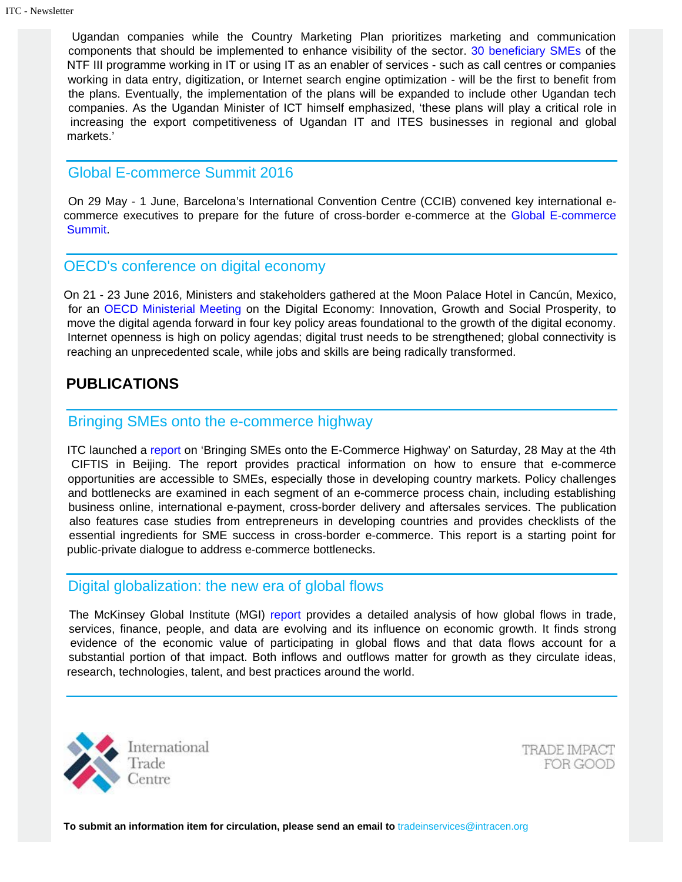Ugandan companies while the Country Marketing Plan prioritizes marketing and communication components that should be implemented to enhance visibility of the sector. [30 beneficiary SMEs](http://www.intracen.org/NTF-III-Uganda-Companies/) of the NTF III programme working in IT or using IT as an enabler of services - such as call centres or companies working in data entry, digitization, or Internet search engine optimization - will be the first to benefit from the plans. Eventually, the implementation of the plans will be expanded to include other Ugandan tech companies. As the Ugandan Minister of ICT himself emphasized, 'these plans will play a critical role in increasing the export competitiveness of Ugandan IT and ITES businesses in regional and global markets.'

## Global E-commerce Summit 2016

 On 29 May - 1 June, Barcelona's International Convention Centre (CCIB) convened key international ecommerce executives to prepare for the future of cross-border e-commerce at the [Global E-commerce](http://e-commercesummit.com/news/777-global-e-commerce-summit-2016-a-continued)  [Summit](http://e-commercesummit.com/news/777-global-e-commerce-summit-2016-a-continued).

## OECD's conference on digital economy

On 21 - 23 June 2016, Ministers and stakeholders gathered at the Moon Palace Hotel in Cancún, Mexico, for an [OECD Ministerial Meeting](http://www.oecd.org/internet/ministerial/) on the Digital Economy: Innovation, Growth and Social Prosperity, to move the digital agenda forward in four key policy areas foundational to the growth of the digital economy. Internet openness is high on policy agendas; digital trust needs to be strengthened; global connectivity is reaching an unprecedented scale, while jobs and skills are being radically transformed.

## **PUBLICATIONS**

## Bringing SMEs onto the e-commerce highway

 ITC launched a [report](http://www.intracen.org/publication/Bringing-SMEs-onto-the-e-Commerce-Highway/) on 'Bringing SMEs onto the E-Commerce Highway' on Saturday, 28 May at the 4th CIFTIS in Beijing. The report provides practical information on how to ensure that e-commerce opportunities are accessible to SMEs, especially those in developing country markets. Policy challenges and bottlenecks are examined in each segment of an e-commerce process chain, including establishing business online, international e-payment, cross-border delivery and aftersales services. The publication also features case studies from entrepreneurs in developing countries and provides checklists of the essential ingredients for SME success in cross-border e-commerce. This report is a starting point for public-private dialogue to address e-commerce bottlenecks.

## Digital globalization: the new era of global flows

 The McKinsey Global Institute (MGI) [report](http://www.mckinsey.com/business-functions/mckinsey-digital/our-insights/digital-globalization-the-new-era-of-global-flows) provides a detailed analysis of how global flows in trade, services, finance, people, and data are evolving and its influence on economic growth. It finds strong evidence of the economic value of participating in global flows and that data flows account for a substantial portion of that impact. Both inflows and outflows matter for growth as they circulate ideas, research, technologies, talent, and best practices around the world.



TRADE IMPACT FOR GOOD

**To submit an information item for circulation, please send an email to** tradeinservices@intracen.org